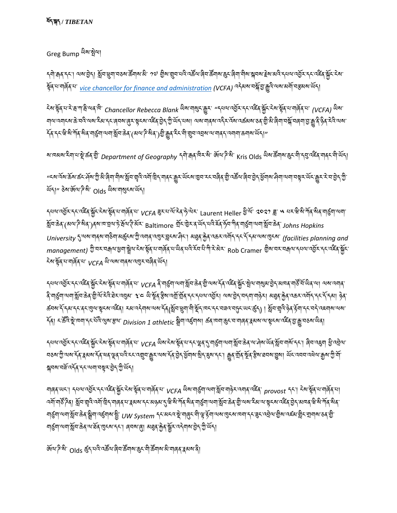Greg Bump <sup>ୟିજા-</sup>ગ્નૈય|

*ད*གེ་རྐན་དང་། ལས་བྱེད། སྐོབ་ཕྲུག་བᢌས་རརྱོགས་མི་ *ॽป* གྱིས་གྱུབ་པའི་འརརྱོལ་ୡིབ་རྱོག་ས་རྱུན་་སྐྱོལ་མུ་རྱུ་རྱ་རུ་རྱ་ལུ་རྲུ་རྱོང་རས་ <sup>য়ুঁ</sup>ধ<sup>়বা বা</sup>ৰ্লিধ়<sup>ন</sup> *[vice chancellor for finance and administration](https://www.vc.wisc.edu/) (VCFA) <sup>দই মৰ</sup> মন্নী ম্ভূক্ষী অৰ্থ অৰ্থ অনু* 

ངེས་སྟོན་པ་རེ་རྦ་ཀ་རྦྱི་ལན་ཁི་ *Chancellor Rebecca Blank* ཡིས་གསུང་རྒྱུར་ "དཔལ་འབྱོར་དང་འཛིན་སྐྱོང་ངེས་སྟོན་པ་གཞོན་པ་ *(VCFA)* ཡིས་ ঘান্যবাৰ্থা ক্ৰাবীন্মৰা ইমান্বাৰ্বৰাৰ্বে ছাৰ্থা বইৰাট্টন্টি অন্যবাণ অৰাত্মবাৰ্থ বিদ্যা বহুমৰাত্ত বুটিয়াৰীত্মবা ঁৰ্বান্ন শ্লি'ষ্ঠাৰ্শাৰ্ষ্ণ শৰ্মন্ত্ৰ আৰু স্ক্ৰিন ক্ৰম (অন্য'ট'ষ্ঠাৰ্) খ্ৰী ক্ৰুৰ 'ইন' শী ব্যুন বেহাৰ আৰম্প নেশালা কলাৰা শ্লেন|"

<u>য়ানমমা ২িবা নাই কুথি Department of Geography དགེ་རྐན་ལིར་སི་ སོལ་རེ་སི་ Kris Olds ལིས་རརོགས་རརྱང་གི་དབུ་འརོན་གནང་གི་ལོད།</u>

"ངས་འོས་ཆོས་ཚང་ཤོས་ཀྱི་མི་ཞིག་གིས་སློབ་གྲྭའི་འགོ་ཁྲིད་གནང་རྒྱུར་ཡོངས་ཁྱབ་རང་བཞིན་གྱི་འཚོལ་ཞིབ་བྱེད་ཕྱོགས་ཤིག་ལག་བསྟར་ཡོང་རྒྱུར་རེ་བ་བྱེད་ཀྱི་ ଐ୕**ଽ୲**" ୫୕ଷ'ଔଷ' ନିଂଷ୍ଟି' Olds <sup>ଅ</sup>ଷ୍ଟାଷ୍ଟ୍ରାୟା ଅଁମ୍

དཔལ་འརྱོར་དང་འརིན་སྐྱོང་རེས་སྲོན་པ་གེནོན་པ་ *VCFA* རུར་པ་ལོ་རེན་ནེ་ལེར་ Laurent Heller ಶु৾ ལོ་ ་ལི་ལེ་ རྒྱི་ས་ ལོ་རི་སི་སོན་གྲུ་ག་ལག་ སློབ་ཆེན་(མལ་ཌི་སིན་)ནས་ཁ་བྲལ་ཏེ་རྦོལ་ཊྱི་མོར་ Baltimore གྲོང་ཁྱེར་ན་ཡོད་པའི་ཇོན་ཧོབ་ཀིན་གཙུག་ལག་སློབ་ཆེན་ *Johns Hopkins University* དུ་ལས་གནས་གཅིག་མཚུངས་ཀྱི་འགན་འཁུར་བླངས་ཤིང་། མཐུན་རྐྱེན་འཆར་འགོད་དང་དོ་དམ་ལས་ཁུངས་ *(facilities planning and management) থ্রি* অম্বর্শেস্ত্রণ ষ্ট্রুঝাইমার্ষ্ট্রবাশার্জ্রবাধীর ঘন্টির্মরাণী বিষ্ণা Rob Cramer থ্রীমাবমাবর্নমান্ত্রেমান্ত্রেমান্ত্র ངེས་སྟོན་པ་གཞོན་པ་ *VCFA* ཡི་ལས་གནས་འཁུར་བཞིན་ཡོད།

*২ঘণ বৰ্গুৰ ২৮ বে*ঙ্কৰ স্কুঁদ হল ষ্টুৰ ঘাৰাৰ্জৰ ঘা *VCFA ৰ* ৰাষ্ট্ৰৰা অৰাষ্ট্ৰৰ ভ্ৰৰ অন্ত অৰুৰ স্কুঁদ ষ্ট্ৰৰ অৰুৰ অৰীক অৰীক কৰা কৰা কৰাৰ বা ङ्गे बार्ञुबाजबाञ्चे सङ्ग्रे अन्निदे से अर्था ४.८ लुङ्गे अर्थन्य स्थान् । अत्र प्राप्तवर्य अर्थन्य अन्न अर्थन् ड़ॶॴर्द्रान्स् । हिल् अस्य स्थान्य स्थान्य अप्रदेश । स्थान्य स्थानि । स्थान्य स्थान्य अस्य अस्य अस्य अस्य अस्य དོན། ང་ཚོའི་སྡེ་ཁག་དང་པོའི་ལུས་རྩལ་ *Division 1 athletic* སྒྲིག་འཛུགས། ཚན་ཁག་ཆུང་བ་གཞན་རྣམས་ལ་སྟངས་འཛིན་བྱ་རྒྱུ་བཅས་ཡིན།

དཔལ་འབྱོར་དང་འཛིན་སྐྱོང་ངེས་སྟོན་པ་གཞོན་པ་ *VCFA* ཡིས་ངེས་སྟོན་པ་དང་ལྷན་དུ་གཙུག་ལག་སློབ་ཆེན་ལ་ཤེས་ཡོན་སློབ་གསོ་དང་། ཞིབ་འཇུག ཕྱི་འབྲེལ་ *བ*ঙঝ'ট্ট'অৰ'ৰ্ইব'ৰ্ছৰম'ৰ্ইব'ৰ্ষৰ'শ্লুৰ'ঘৰি'হহ'বেল্লুব'ল্ৰুম'অৰ'ৰ্ইব'ষ্ট্ৰবাৰীৰ'ৰ্ষুব'ৰ্ষুব'ৰ্ষুব'ষ্ট্ৰম'ৰ্ছম'ৰ্ষ মুখ্য বি'ৰ্লি' আৰু অৰ্থ মুখ'টা শ্ৰ ষ্মনম'নৰ্ষ বৰ্ষ ব্ৰান্ন কৰা বিষ্ণা কৰা

ঘাৰৰ অনা ব্যান্মান্ত্ৰী ব্যৱস্থাৰ বিষয়া স্থান কৰা বিষয়া বিষয়া স্থান পৰিবলক স্থান কৰিবলৈ বিষয়া বিষয়া হয়। ্মন্য শর্ষ দিব। ষ্ট্র্ম শ্রুমি মের্দা ট্রিন শাৰৰ শাস্করম শন অঞ্জন বুদ্ধি মার্ক শর্মন শর্মা শর্মা শরীত শরীত শরক बाईबाज्यबाङ्गीय कुथ*ुँच्चैनाउईबायःड्ढैैं. DM System २८:बरूउ* ऊँ बार्बर*चो के ड्रेच जब डिस्था ब*ार्ट अङ्गल कुल उद्युल दिलाई स्थित रही के শর্ত্ত্রশন্মশার্ষ্ট্রমাক্টর্নঅর্ন্টরাজ্নমান্দ্রা ৰেমমান্ত্র। অন্তরাদ্রীরাষ্ট্রমান্ত্রমান্ত্রী উর্ন্য

জঁঅ'দ্বিত্ম' Olds ৰ্ক্তৃণ অৰ্থ অৰ্ক্ষিত বিশক্তি অৰ্থ কৰা প্ৰতি অৰ্থ কৰা পৰি